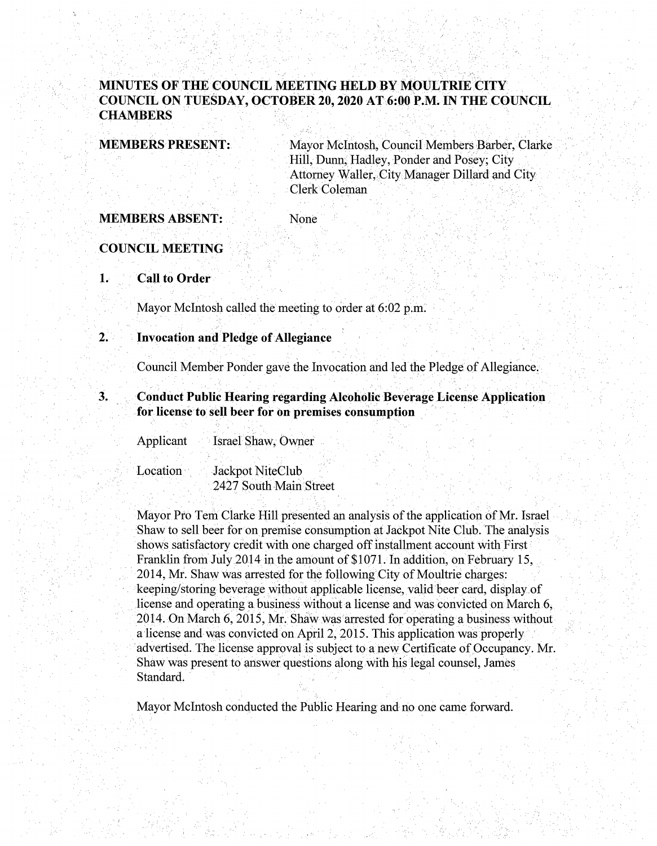## **MINUTES OF THE COUNCIL MEETING HELD BY MOULTRIE CITY COUNCIL ON TUESDAY, OCTOBER 20, 2020 AT6:00 P.M~ IN THE COUNCIL CHAMBERS** ,

**MEMBERS PRESENT:** 

Mayor McIntosh, Council Members Barber, Clarke Hill, Dunn, Hadley, Ponder and Posey; City Attorney Waller, City Manager Dillard and City Clerk Coleman

**MEMBERS ABSENT:** 

None

**COUNCIL MEETING** 

1. **Call to Order** 

Mayor McIntosh called the meeting to order at 6:02 p.m.

### **2. • Invocation and Pledge of Allegiance**

Council Member Ponder gave the Invocation and led the Pledge of AHegiance:

**3. Conduct Public Hearing regarding Alcoholic Beverage License Application** for license to sell beer for on premises consumption

Applicant Israel Shaw, Owner

**Location** Jackpot NiteClub 2427 South Main Street

Mayor Pro Tern Clarke Hill presented an analysis of the application of Mr. Israel Shaw to sell beer for on premise consumption at Jackpot Nite Club. The analysis shows satisfactory credit with one charged off installment account with First Franklin from July 2014 in the amount of \$1071. In addition, on February 15, 2014, Mr. Shaw was arrested for the following City of Moultrie charges: keeping/storing beverage without applicable license, valid beer card, display of license and operating a business without a license and was convicted on March 6, 2014.Dn March 6, 2015, Mr. Shaw was arrested for operating a business without a license and was convicted on April 2, 2015. This application was properly advertised. The license approval is subject to a new Certificate of Occupancy. Mr. Shaw was present to answer questions along with his legal counsel, James Standard.

Mayor McIntosh conducted the Public Hearing and no one came forward.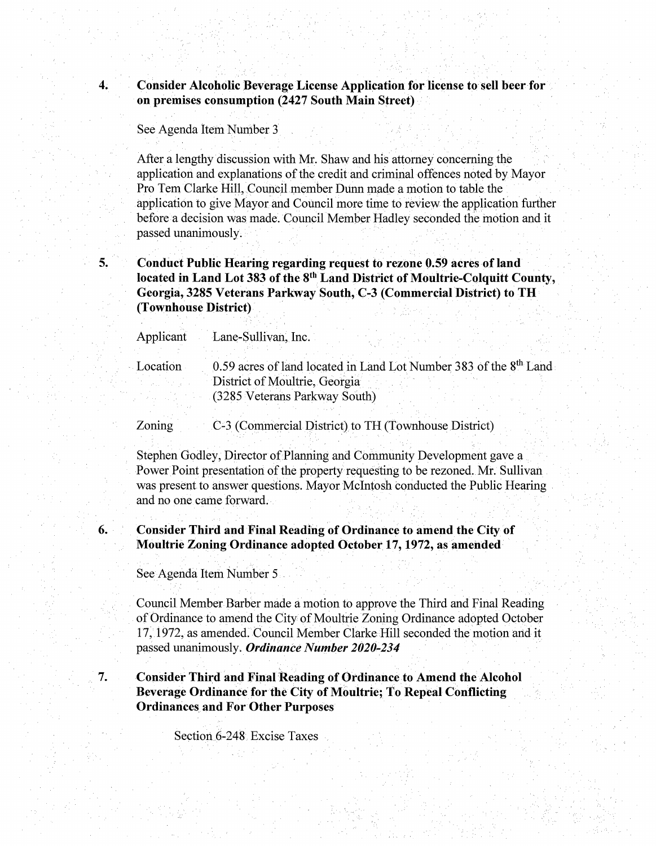**4. Consider Alcoholic Beverage License Application for license to sell beer for on premises consumption (2427 South Main Street)** 

See Agenda Item Number 3

After a lengthy discussion with Mr. Shaw and his attorney concerning the application and explanations of the credit and criminal offences noted by Mayor Pro Tem Clarke Hill, Council member Dunn made a motion to table the application to give Mayor and Council more time to review the application further before a decision was made. Council Member Hadley seconded the motion and it passed unanimously.

**5. Conduct Public Hearing regarding request to rezone 0.59 acres of land located in Land Lot 383 of the 8th Land District of Moultrie-Colquitt County, Georgia, 3285 Veterans Parkway South, C-3 (Commercial District) to TH (Townhouse District)** 

| Applicant | Lane-Sullivan, Inc.                                                           |
|-----------|-------------------------------------------------------------------------------|
| Location  | 0.59 acres of land located in Land Lot Number 383 of the 8 <sup>th</sup> Land |
|           | District of Moultrie, Georgia                                                 |
|           | (3285 Veterans Parkway South)                                                 |
|           |                                                                               |

Zoning C-3 (Commercial District) to TH (Townhouse District)

Stephen Godley, Director of Planning and Community Development gave a Power Point presentation of the property requesting to be rezoned. Mr. Sullivan was present to answer questions. Mayor McIntosh conducted the Public Hearing and no one came forward.

**6. Consider Third and Final Reading of Ordinance to amend the City of Moultrie Zoning Ordinance adopted October.17, 1972, as amended** 

See Agenda Item Number 5

Council Member Barber made a motion to approve the Third and Final Reading of Ordinance to amend the City of Moultrie Zoning Ordinance adopted October 17, 1972, as amended. Council Member Clarke Hill seconded the motion and it passed unanimously. *Ordinance Number 2020-234* 

**7. Consider Third aml Final Reading of Ordinance to Amend the Alcohol Beverage Ordinance for the City of Moultrie; To Repeal Conflicting Ordinances and For Other Purposes** 

Section 6-248 Excise Taxes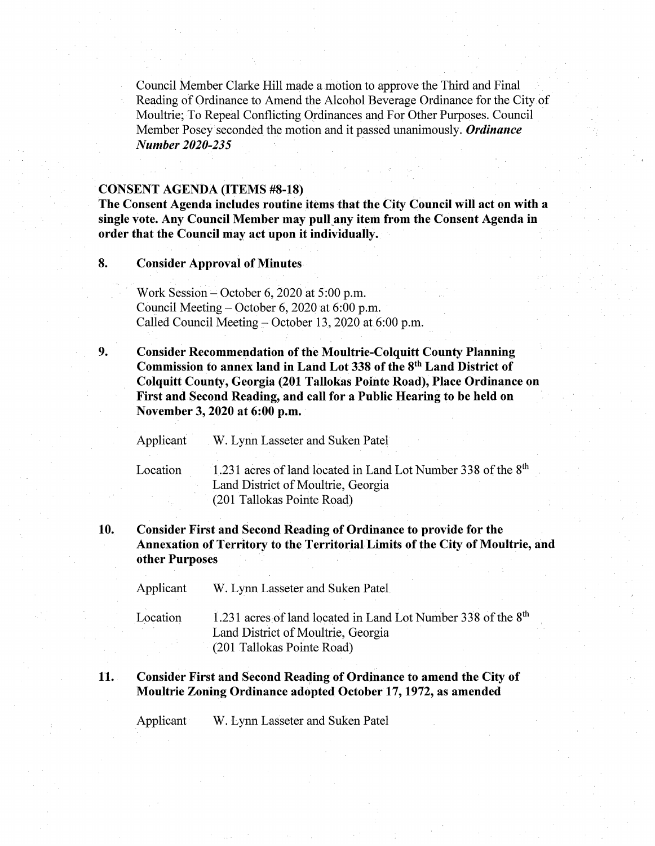Council Member Clarke Hill made a motion to approve the Third and Final Reading of Ordinance to Amend the Alcohol Beverage Ordinance for the City of Moultrie; To Repeal Conflicting Ordinances and For Other Purposes. Council Member Posey seconded the motion and it passed unanimously. *Ordinance Number 2020-235* 

### · **CONSENT AGENDA (ITEMS #8-18)**

**The Consent Agenda includes routine items that the City Council will act on with a single vote. Any Council Member may pull\_a:ny item from the Consent Agenda in order that the Council may act upon it individually.** 

**8. Consider Approval of Minutes** 

Work Session – October 6, 2020 at  $5:00$  p.m. Council Meeting- October 6, 2020 at 6:00 p.m. Called Council Meeting  $-$  October 13, 2020 at 6:00 p.m.

**9. Consider Recommendation of the Moultrie-Colquitt County Planning Commission to annex land in Land Lot 338 of the 8th Land District of Colquitt County, Georgia (201 Tallokas Pointe Road), Place Ordinance on First and Second Reading, and call for a Public Hearing to be held on**  November 3, 2020 at 6:00 p.m.

Applicant W. Lynn Lasseter and Suken Patel

Location 1.231 acres of land located in Land Lot Number 338 of the  $8<sup>th</sup>$ Land District of Moultrie, Georgia (201 Tallokas Poirite Road)

**10. Consider First and Second Reading of Ordinance to provide for the Annexation of Territory to the Territorial Limits of the City of Moultrie, and other Purposes** ·

Applicant W. Lynn Lasseter and Suken Patel.

Location 1.231 acres of land located in Land Lot Number 338 of the  $8<sup>th</sup>$ Land District of Moultrie, Georgia · (201 Tallokas Pointe Road)

### . The contribution of the contribution of the contribution  $\mathcal{E}_\text{c}$ **11.** Consider First and Second Reading of Ordinance to amend the City of **Moultrie Zoning Ordinance adopted October 17, 1972, as amended**

Applicant W. Lynn Lasseter and Suken Patel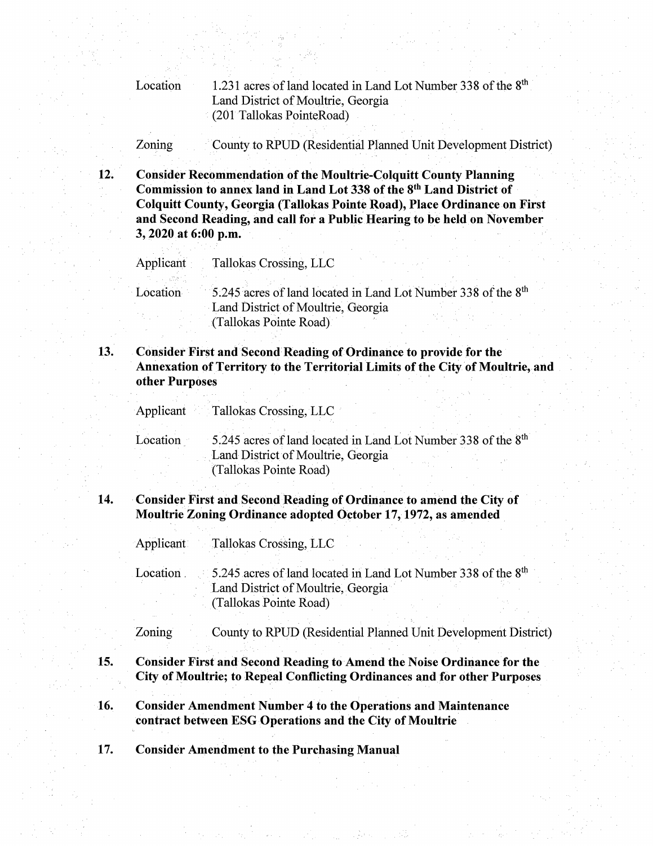Location 1.231 acres of land located in Land Lot Number 338 of the 8<sup>th</sup> Land District of Moultrie, Georgia (201 Tallokas PointeRoad)

Zoning County to RPUD (Residential Planned Unit Development District)

**Consider Recommendation of the Moultrie-Colquitt County Planning** Commission to annex land in Land Lot 338 of the 8<sup>th</sup> Land District of Colquitt County, Georgia (Tallokas Pointe Road), Place Ordinance on First and Second Reading, and call for a Public Hearing to be held on November 3, 2020 at 6:00 p.m.

Applicant Tallokas Crossing, LLC

 $12.$ 

15.

Location 5.245 acres of land located in Land Lot Number 338 of the 8<sup>th</sup> Land District of Moultrie, Georgia (Tallokas Pointe Road)

Consider First and Second Reading of Ordinance to provide for the 13. Annexation of Territory to the Territorial Limits of the City of Moultrie, and other Purposes

Applicant Tallokas Crossing, LLC

5.245 acres of land located in Land Lot Number 338 of the 8<sup>th</sup> Location Land District of Moultrie, Georgia

(Tallokas Pointe Road)

#### 14. **Consider First and Second Reading of Ordinance to amend the City of** Moultrie Zoning Ordinance adopted October 17, 1972, as amended

Applicant Tallokas Crossing, LLC

5.245 acres of land located in Land Lot Number 338 of the 8<sup>th</sup> Location Land District of Moultrie, Georgia (Tallokas Pointe Road)

Zoning County to RPUD (Residential Planned Unit Development District)

- **Consider First and Second Reading to Amend the Noise Ordinance for the** City of Moultrie; to Repeal Conflicting Ordinances and for other Purposes
- 16. **Consider Amendment Number 4 to the Operations and Maintenance** contract between ESG Operations and the City of Moultrie

17. **Consider Amendment to the Purchasing Manual**